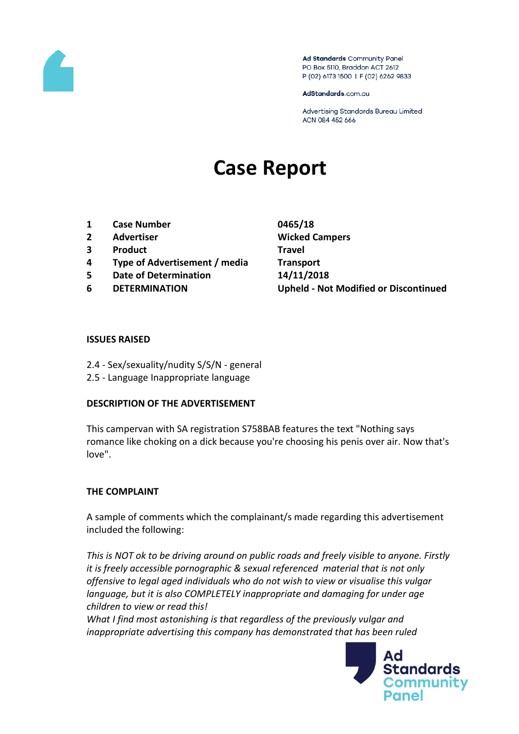

Ad Standards Community Panel PO Box 5110, Braddon ACT 2612 P (02) 6173 1500 | F (02) 6262 9833

AdStandards.com.au

Advertising Standards Bureau Limited ACN 084 452 666

# **Case Report**

- **1 Case Number 0465/18**
- **2 Advertiser Wicked Campers**
- **3 Product Travel**
- **4 Type of Advertisement / media Transport**
- **5 Date of Determination 14/11/2018**
- 

**6 DETERMINATION Upheld - Not Modified or Discontinued**

#### **ISSUES RAISED**

- 2.4 Sex/sexuality/nudity S/S/N general
- 2.5 Language Inappropriate language

#### **DESCRIPTION OF THE ADVERTISEMENT**

This campervan with SA registration S758BAB features the text "Nothing says romance like choking on a dick because you're choosing his penis over air. Now that's love".

# **THE COMPLAINT**

A sample of comments which the complainant/s made regarding this advertisement included the following:

*This is NOT ok to be driving around on public roads and freely visible to anyone. Firstly it is freely accessible pornographic & sexual referenced material that is not only offensive to legal aged individuals who do not wish to view or visualise this vulgar language, but it is also COMPLETELY inappropriate and damaging for under age children to view or read this!*

*What I find most astonishing is that regardless of the previously vulgar and inappropriate advertising this company has demonstrated that has been ruled* 

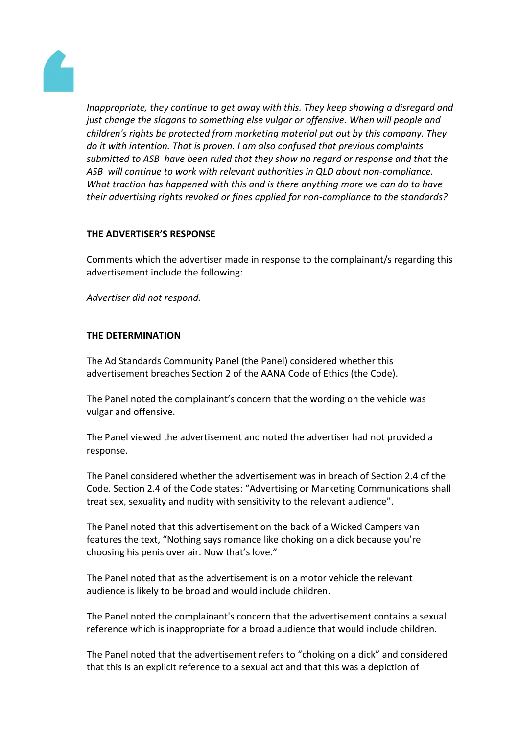

*Inappropriate, they continue to get away with this. They keep showing a disregard and just change the slogans to something else vulgar or offensive. When will people and children's rights be protected from marketing material put out by this company. They do it with intention. That is proven. I am also confused that previous complaints submitted to ASB have been ruled that they show no regard or response and that the ASB will continue to work with relevant authorities in QLD about non-compliance. What traction has happened with this and is there anything more we can do to have their advertising rights revoked or fines applied for non-compliance to the standards?*

## **THE ADVERTISER'S RESPONSE**

Comments which the advertiser made in response to the complainant/s regarding this advertisement include the following:

*Advertiser did not respond.*

## **THE DETERMINATION**

The Ad Standards Community Panel (the Panel) considered whether this advertisement breaches Section 2 of the AANA Code of Ethics (the Code).

The Panel noted the complainant's concern that the wording on the vehicle was vulgar and offensive.

The Panel viewed the advertisement and noted the advertiser had not provided a response.

The Panel considered whether the advertisement was in breach of Section 2.4 of the Code. Section 2.4 of the Code states: "Advertising or Marketing Communications shall treat sex, sexuality and nudity with sensitivity to the relevant audience".

The Panel noted that this advertisement on the back of a Wicked Campers van features the text, "Nothing says romance like choking on a dick because you're choosing his penis over air. Now that's love."

The Panel noted that as the advertisement is on a motor vehicle the relevant audience is likely to be broad and would include children.

The Panel noted the complainant's concern that the advertisement contains a sexual reference which is inappropriate for a broad audience that would include children.

The Panel noted that the advertisement refers to "choking on a dick" and considered that this is an explicit reference to a sexual act and that this was a depiction of